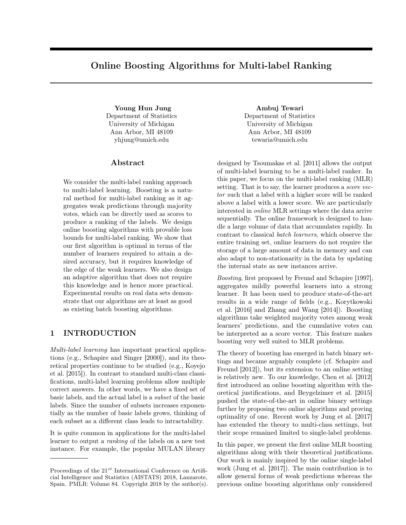# Online Boosting Algorithms for Multi-label Ranking

Department of Statistics University of Michigan Ann Arbor, MI 48109 yhjung@umich.edu

# Abstract

We consider the multi-label ranking approach to multi-label learning. Boosting is a natural method for multi-label ranking as it aggregates weak predictions through majority votes, which can be directly used as scores to produce a ranking of the labels. We design online boosting algorithms with provable loss bounds for multi-label ranking. We show that our first algorithm is optimal in terms of the number of learners required to attain a desired accuracy, but it requires knowledge of the edge of the weak learners. We also design an adaptive algorithm that does not require this knowledge and is hence more practical. Experimental results on real data sets demonstrate that our algorithms are at least as good as existing batch boosting algorithms.

# 1 INTRODUCTION

Multi-label learning has important practical applications (e.g., Schapire and Singer [2000]), and its theoretical properties continue to be studied (e.g., Koyejo et al. [2015]). In contrast to standard multi-class classifications, multi-label learning problems allow multiple correct answers. In other words, we have a fixed set of basic labels, and the actual label is a subset of the basic labels. Since the number of subsets increases exponentially as the number of basic labels grows, thinking of each subset as a different class leads to intractability.

It is quite common in applications for the multi-label learner to output a ranking of the labels on a new test instance. For example, the popular MULAN library

Young Hun Jung **Ambuj Tewari** Department of Statistics University of Michigan Ann Arbor, MI 48109 tewaria@umich.edu

> designed by Tsoumakas et al. [2011] allows the output of multi-label learning to be a multi-label ranker. In this paper, we focus on the multi-label ranking (MLR) setting. That is to say, the learner produces a *score vec*tor such that a label with a higher score will be ranked above a label with a lower score. We are particularly interested in online MLR settings where the data arrive sequentially. The online framework is designed to handle a large volume of data that accumulates rapidly. In contrast to classical batch learners, which observe the entire training set, online learners do not require the storage of a large amount of data in memory and can also adapt to non-stationarity in the data by updating the internal state as new instances arrive.

> Boosting, first proposed by Freund and Schapire [1997], aggregates mildly powerful learners into a strong learner. It has been used to produce state-of-the-art results in a wide range of fields (e.g., Korytkowski et al. [2016] and Zhang and Wang [2014]). Boosting algorithms take weighted majority votes among weak learners' predictions, and the cumulative votes can be interpreted as a score vector. This feature makes boosting very well suited to MLR problems.

> The theory of boosting has emerged in batch binary settings and became arguably complete (cf. Schapire and Freund [2012]), but its extension to an online setting is relatively new. To our knowledge, Chen et al. [2012] first introduced an online boosting algorithm with theoretical justifications, and Beygelzimer et al. [2015] pushed the state-of-the-art in online binary settings further by proposing two online algorithms and proving optimality of one. Recent work by Jung et al. [2017] has extended the theory to multi-class settings, but their scope remained limited to single-label problems.

> In this paper, we present the first online MLR boosting algorithms along with their theoretical justifications. Our work is mainly inspired by the online single-label work (Jung et al. [2017]). The main contribution is to allow general forms of weak predictions whereas the previous online boosting algorithms only considered

Proceedings of the  $21^{st}$  International Conference on Artificial Intelligence and Statistics (AISTATS) 2018, Lanzarote, Spain. PMLR: Volume 84. Copyright 2018 by the author(s).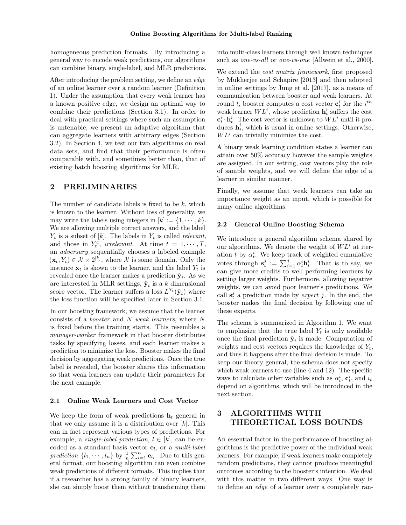homogeneous prediction formats. By introducing a general way to encode weak predictions, our algorithms can combine binary, single-label, and MLR predictions.

After introducing the problem setting, we define an edge of an online learner over a random learner (Definition 1). Under the assumption that every weak learner has a known positive edge, we design an optimal way to combine their predictions (Section 3.1). In order to deal with practical settings where such an assumption is untenable, we present an adaptive algorithm that can aggregate learners with arbitrary edges (Section 3.2). In Section 4, we test our two algorithms on real data sets, and find that their performance is often comparable with, and sometimes better than, that of existing batch boosting algorithms for MLR.

# 2 PRELIMINARIES

The number of candidate labels is fixed to be  $k$ , which is known to the learner. Without loss of generality, we may write the labels using integers in  $[k] := \{1, \dots, k\}.$ We are allowing multiple correct answers, and the label  $Y_t$  is a subset of [k]. The labels in  $Y_t$  is called relevant, and those in  $Y_t^c$ , irrelevant. At time  $t = 1, \dots, T$ , an adversary sequentially chooses a labeled example  $(\mathbf{x}_t, Y_t) \in \mathcal{X} \times 2^{[k]},$  where X is some domain. Only the instance  $x_t$  is shown to the learner, and the label  $Y_t$  is revealed once the learner makes a prediction  $\hat{\mathbf{y}}_t$ . As we are interested in MLR settings,  $\hat{\mathbf{y}}_t$  is a k dimensional score vector. The learner suffers a loss  $L^{Y_t}(\hat{\mathbf{y}}_t)$  where the loss function will be specified later in Section 3.1.

In our boosting framework, we assume that the learner consists of a booster and N weak learners, where N is fixed before the training starts. This resembles a manager-worker framework in that booster distributes tasks by specifying losses, and each learner makes a prediction to minimize the loss. Booster makes the final decision by aggregating weak predictions. Once the true label is revealed, the booster shares this information so that weak learners can update their parameters for the next example.

#### 2.1 Online Weak Learners and Cost Vector

We keep the form of weak predictions  $h_t$  general in that we only assume it is a distribution over  $[k]$ . This can in fact represent various types of predictions. For example, a *single-label prediction*,  $l \in [k]$ , can be encoded as a standard basis vector  $e_l$ , or a multi-label prediction  $\{l_1, \dots, l_n\}$  by  $\frac{1}{n} \sum_{i=1}^n \mathbf{e}_{l_i}$ . Due to this general format, our boosting algorithm can even combine weak predictions of different formats. This implies that if a researcher has a strong family of binary learners, she can simply boost them without transforming them

into multi-class learners through well known techniques such as *one-vs-all* or *one-vs-one* [Allwein et al., 2000].

We extend the *cost matrix framework*, first proposed by Mukherjee and Schapire [2013] and then adopted in online settings by Jung et al. [2017], as a means of communication between booster and weak learners. At round t, booster computes a cost vector  $\mathbf{c}_t^i$  for the  $i^{th}$ weak learner  $WL^i$ , whose prediction  $\mathbf{h}_t^i$  suffers the cost  $\mathbf{c}_t^i \cdot \mathbf{h}_t^i$ . The cost vector is unknown to  $WL^i$  until it produces  $\mathbf{h}_t^i$ , which is usual in online settings. Otherwise,  $WL<sup>i</sup>$  can trivially minimize the cost.

A binary weak learning condition states a learner can attain over 50% accuracy however the sample weights are assigned. In our setting, cost vectors play the role of sample weights, and we will define the edge of a learner in similar manner.

Finally, we assume that weak learners can take an importance weight as an input, which is possible for many online algorithms.

#### 2.2 General Online Boosting Schema

We introduce a general algorithm schema shared by our algorithms. We denote the weight of  $WL<sup>i</sup>$  at iteration t by  $\alpha_t^i$ . We keep track of weighted cumulative votes through  $\mathbf{s}_t^j := \sum_{i=1}^j \alpha_t^i \mathbf{h}_t^i$ . That is to say, we can give more credits to well performing learners by setting larger weights. Furthermore, allowing negative weights, we can avoid poor learner's predictions. We call  $s_t^j$  a prediction made by *expert j*. In the end, the booster makes the final decision by following one of these experts.

The schema is summarized in Algorithm 1. We want to emphasize that the true label  $Y_t$  is only available once the final prediction  $\hat{\mathbf{y}}_t$  is made. Computation of weights and cost vectors requires the knowledge of  $Y_t$ , and thus it happens after the final decision is made. To keep our theory general, the schema does not specify which weak learners to use (line 4 and 12). The specific ways to calculate other variables such as  $\alpha_t^i$ ,  $\mathbf{c}_t^i$ , and  $i_t$ depend on algorithms, which will be introduced in the next section.

# 3 ALGORITHMS WITH THEORETICAL LOSS BOUNDS

An essential factor in the performance of boosting algorithms is the predictive power of the individual weak learners. For example, if weak learners make completely random predictions, they cannot produce meaningful outcomes according to the booster's intention. We deal with this matter in two different ways. One way is to define an edge of a learner over a completely ran-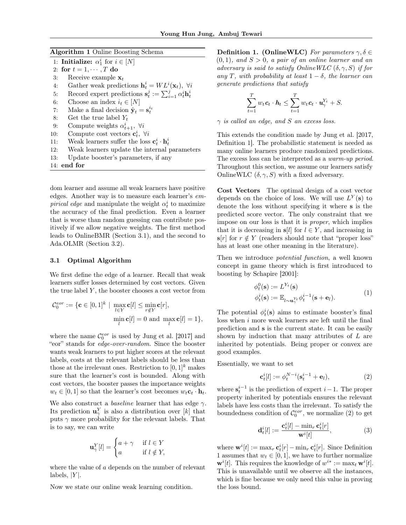| <b>Algorithm 1 Online Boosting Schema</b> |  |  |  |
|-------------------------------------------|--|--|--|
|-------------------------------------------|--|--|--|

- 1: **Initialize:**  $\alpha_1^i$  for  $i \in [N]$
- 2: for  $t = 1, \cdots, T$  do
- 3: Receive example  $\mathbf{x}_t$
- 4: Gather weak predictions  $\mathbf{h}_t^i = WL^i(\mathbf{x}_t)$ ,  $\forall i$
- 5: Record expert predictions  $\mathbf{s}_t^j := \sum_{i=1}^j \alpha_t^i \mathbf{h}_t^i$
- 6: Choose an index  $i_t \in [N]$
- 7: Make a final decision  $\hat{\mathbf{y}}_t = \mathbf{s}_t^{i_t}$
- 8: Get the true label  $Y_t$
- 9: Compute weights  $\alpha_{t+1}^i$ ,  $\forall i$
- 10: Compute cost vectors  $\mathbf{c}_t^i$ ,  $\forall i$
- 11: Weak learners suffer the loss  $\mathbf{c}_t^i \cdot \mathbf{h}_t^i$
- 12: Weak learners update the internal parameters
- 13: Update booster's parameters, if any
- 14: end for

dom learner and assume all weak learners have positive edges. Another way is to measure each learner's em*pirical edge* and manipulate the weight  $\alpha_t^i$  to maximize the accuracy of the final prediction. Even a learner that is worse than random guessing can contribute positively if we allow negative weights. The first method leads to OnlineBMR (Section 3.1), and the second to Ada.OLMR (Section 3.2).

#### 3.1 Optimal Algorithm

We first define the edge of a learner. Recall that weak learners suffer losses determined by cost vectors. Given the true label  $Y$ , the booster chooses a cost vector from

$$
\mathcal{C}_0^{cor} := \{ \mathbf{c} \in [0,1]^k \mid \max_{l \in Y} \mathbf{c}[l] \le \min_{r \notin Y} \mathbf{c}[r],
$$

$$
\min_l \mathbf{c}[l] = 0 \text{ and } \max_l \mathbf{c}[l] = 1 \},
$$

where the name  $\mathcal{C}_0^{eor}$  is used by Jung et al. [2017] and "eor" stands for edge-over-random. Since the booster wants weak learners to put higher scores at the relevant labels, costs at the relevant labels should be less than those at the irrelevant ones. Restriction to  $[0, 1]^k$  makes sure that the learner's cost is bounded. Along with cost vectors, the booster passes the importance weights  $w_t \in [0, 1]$  so that the learner's cost becomes  $w_t \mathbf{c}_t \cdot \mathbf{h}_t$ .

We also construct a *baseline* learner that has edge  $\gamma$ . Its prediction  $\mathbf{u}_{\gamma}^{Y}$  is also a distribution over [k] that puts  $\gamma$  more probability for the relevant labels. That is to say, we can write

$$
\mathbf{u}_{\gamma}^{Y}[l] = \begin{cases} a + \gamma & \text{if } l \in Y \\ a & \text{if } l \notin Y, \end{cases}
$$

where the value of  $a$  depends on the number of relevant  $labels, |Y|.$ 

Now we state our online weak learning condition.

Definition 1. (OnlineWLC) For parameters  $\gamma, \delta \in$  $(0, 1)$ , and  $S > 0$ , a pair of an online learner and an adversary is said to satisfy OnlineWLC  $(\delta, \gamma, S)$  if for any T, with probability at least  $1 - \delta$ , the learner can generate predictions that satisfy

$$
\sum_{t=1}^T w_t \mathbf{c}_t \cdot \mathbf{h}_t \le \sum_{t=1}^T w_t \mathbf{c}_t \cdot \mathbf{u}_{\gamma}^{Y_t} + S.
$$

 $\gamma$  is called an edge, and S an excess loss.

This extends the condition made by Jung et al. [2017, Definition 1]. The probabilistic statement is needed as many online learners produce randomized predictions. The excess loss can be interpreted as a warm-up period. Throughout this section, we assume our learners satisfy OnlineWLC  $(\delta, \gamma, S)$  with a fixed adversary.

Cost Vectors The optimal design of a cost vector depends on the choice of loss. We will use  $L^Y(\mathbf{s})$  to denote the loss without specifying it where s is the predicted score vector. The only constraint that we impose on our loss is that it is proper, which implies that it is decreasing in  $s[l]$  for  $l \in Y$ , and increasing in  $\mathbf{s}[r]$  for  $r \notin Y$  (readers should note that "proper loss" has at least one other meaning in the literature).

Then we introduce potential function, a well known concept in game theory which is first introduced to boosting by Schapire [2001]:

$$
\begin{aligned} \phi_t^0(\mathbf{s}) &:= L^{Y_t}(\mathbf{s}) \\ \phi_t^i(\mathbf{s}) &:= \mathbb{E}_{l \sim \mathbf{u}_\gamma^{Y_t}} \phi_t^{i-1}(\mathbf{s} + \mathbf{e}_l). \end{aligned} \tag{1}
$$

The potential  $\phi_t^i(\mathbf{s})$  aims to estimate booster's final loss when i more weak learners are left until the final prediction and s is the current state. It can be easily shown by induction that many attributes of L are inherited by potentials. Being proper or convex are good examples.

Essentially, we want to set

$$
\mathbf{c}_t^i[l] := \phi_t^{N-i}(\mathbf{s}_t^{i-1} + \mathbf{e}_l),\tag{2}
$$

where  $s_t^{i-1}$  is the prediction of expert  $i-1$ . The proper property inherited by potentials ensures the relevant labels have less costs than the irrelevant. To satisfy the boundedness condition of  $\mathcal{C}_0^{eor}$ , we normalize (2) to get

$$
\mathbf{d}_t^i[l] := \frac{\mathbf{c}_t^i[l] - \min_r \mathbf{c}_t^i[r]}{\mathbf{w}^i[t]},\tag{3}
$$

where  $\mathbf{w}^i[t] := \max_r \mathbf{c}_t^i[r] - \min_r \mathbf{c}_t^i[r]$ . Since Definition 1 assumes that  $w_t \in [0, 1]$ , we have to further normalize  $\mathbf{w}^i[t]$ . This requires the knowledge of  $w^{i*} := \max_t \mathbf{w}^i[t]$ . This is unavailable until we observe all the instances, which is fine because we only need this value in proving the loss bound.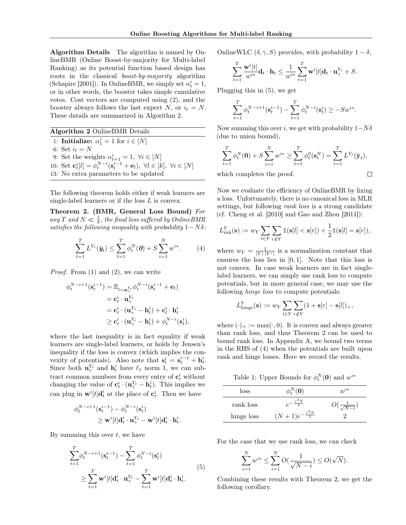Algorithm Details The algorithm is named by OnlineBMR (Online Boost-by-majority for Multi-label Ranking) as its potential function based design has roots in the classical boost-by-majority algorithm (Schapire [2001]). In OnlineBMR, we simply set  $\alpha^i_t=1,$ or in other words, the booster takes simple cumulative votes. Cost vectors are computed using (2), and the booster always follows the last expert N, or  $i_t = N$ . These datails are summarized in Algorithm 2.

Algorithm 2 OnlineBMR Details 1: **Initialize:**  $\alpha_1^i = 1$  for  $i \in [N]$ 6: Set  $i_t = N$ 9: Set the weights  $\alpha_{t+1}^i = 1, \ \forall i \in [N]$ 10: Set  $\mathbf{c}_t^i[l] = \phi_t^{N-i}(\mathbf{s}_t^{i-1} + \mathbf{e}_l), \ \forall l \in [k], \ \forall i \in [N]$ 13: No extra parameters to be updated

The following theorem holds either if weak learners are single-label learners or if the loss  $L$  is convex.

Theorem 2. (BMR, General Loss Bound) For any T and  $N \ll \frac{1}{\delta}$ , the final loss suffered by OnlineBMR satisfies the following inequality with probability  $1-N\delta$ :

$$
\sum_{t=1}^{T} L^{Y_t}(\hat{\mathbf{y}}_t) \leq \sum_{t=1}^{T} \phi_t^N(\mathbf{0}) + S \sum_{i=1}^{N} w^{i*}.
$$
 (4)

*Proof.* From  $(1)$  and  $(2)$ , we can write

$$
\begin{aligned} \phi^{N-i+1}_t(\mathbf{s}^{i-1}_t) &= \mathbb{E}_{l \sim \mathbf{u}^{Y_t}_\gamma} \phi^{N-i}_t(\mathbf{s}^{i-1}_t + \mathbf{e}_l) \\ &= \mathbf{c}^i_t \cdot \mathbf{u}^{Y_t}_\gamma \\ &= \mathbf{c}^i_t \cdot (\mathbf{u}^{Y_t}_\gamma - \mathbf{h}^i_t) + \mathbf{c}^i_t \cdot \mathbf{h}^i_t \\ &\geq \mathbf{c}^i_t \cdot (\mathbf{u}^{Y_t}_\gamma - \mathbf{h}^i_t) + \phi^{N-i}_t(\mathbf{s}^i_t), \end{aligned}
$$

where the last inequality is in fact equality if weak learners are single-label learners, or holds by Jensen's inequality if the loss is convex (which implies the convexity of potentials). Also note that  $s_t^i = s_t^{i-1} + h_t^i$ . Since both  $\mathbf{u}_{\gamma}^{Y_t}$  and  $\mathbf{h}_t^i$  have  $\ell_1$  norm 1, we can subtract common numbers from every entry of  $\mathbf{c}_t^i$  without changing the value of  $\mathbf{c}_t^i \cdot (\mathbf{u}_{\gamma}^{Y_t} - \mathbf{h}_t^i)$ . This implies we can plug in  $\mathbf{w}^{i}[t] \mathbf{d}_{t}^{i}$  at the place of  $\mathbf{c}_{t}^{i}$ . Then we have

$$
\begin{aligned} \phi^{N-i+1}_t(\mathbf{s}^{i-1}_t) - \phi^{N-i}_t(\mathbf{s}^{i}_t) \\ \geq \mathbf{w}^i[t] \mathbf{d}^i_t \cdot \mathbf{u}^{Y_t}_\gamma - \mathbf{w}^i[t] \mathbf{d}^i_t \cdot \mathbf{h}^i_t. \end{aligned}
$$

By summing this over  $t$ , we have

$$
\sum_{t=1}^{T} \phi_t^{N-i+1}(\mathbf{s}_t^{i-1}) - \sum_{t=1}^{T} \phi_t^{N-i}(\mathbf{s}_t^i)
$$
\n
$$
\geq \sum_{t=1}^{T} \mathbf{w}^i[t] \mathbf{d}_t^i \cdot \mathbf{u}_\gamma^{Y_t} - \sum_{t=1}^{T} \mathbf{w}^i[t] \mathbf{d}_t^i \cdot \mathbf{h}_t^i.
$$
\n(5)

OnlineWLC  $(\delta, \gamma, S)$  provides, with probability  $1 - \delta$ ,

$$
\sum_{t=1}^T \frac{\mathbf{w}^i[t]}{w^{i*}} \mathbf{d}_t \cdot \mathbf{h}_t \le \frac{1}{w^{i*}} \sum_{t=1}^T \mathbf{w}^i[t] \mathbf{d}_t \cdot \mathbf{u}_{\gamma}^{Y_t} + S.
$$

Plugging this in (5), we get

$$
\sum_{t=1}^{T} \phi_t^{N-i+1}(\mathbf{s}_t^{i-1}) - \sum_{t=1}^{T} \phi_t^{N-i}(\mathbf{s}_t^i) \ge -Sw^{i*}.
$$

Now summing this over i, we get with probability  $1-N\delta$ (due to union bound),

$$
\sum_{t=1}^{T} \phi_t^N(\mathbf{0}) + S \sum_{i=1}^{N} w^{i*} \ge \sum_{t=1}^{T} \phi_t^0(\mathbf{s}_t^N) = \sum_{t=1}^{T} L^{Y_t}(\hat{\mathbf{y}}_t),
$$

which completes the proof.

Now we evaluate the efficiency of OnlineBMR by fixing a loss. Unfortunately, there is no canonical loss in MLR settings, but following *rank loss* is a strong candidate (cf. Cheng et al. [2010] and Gao and Zhou [2011]):

$$
L_{\text{rnk}}^Y(\mathbf{s}) := w_Y \sum_{l \in Y} \sum_{r \notin Y} \mathbb{1}(\mathbf{s}[l] < \mathbf{s}[r]) + \frac{1}{2} \mathbb{1}(\mathbf{s}[l] = \mathbf{s}[r]),
$$

where  $w_Y = \frac{1}{|Y| \cdot |Y^c|}$  is a normalization constant that ensures the loss lies in [0, 1]. Note that this loss is not convex. In case weak learners are in fact singlelabel learners, we can simply use rank loss to compute potentials, but in more general case, we may use the following *hinge loss* to compute potentials:

$$
L^Y_{\text{hinge}}(\mathbf{s}) := w_Y \sum_{l \in Y} \sum_{r \notin Y} (1 + \mathbf{s}[r] - \mathbf{s}[l])_+,
$$

where  $(\cdot)_+ := \max(\cdot, 0)$ . It is convex and always greater than rank loss, and thus Theorem 2 can be used to bound rank loss. In Appendix A, we bound two terms in the RHS of (4) when the potentials are built upon rank and hinge losses. Here we record the results.

Table 1: Upper Bounds for  $\phi_t^N(\mathbf{0})$  and  $w^{i*}$ 

| loss       | $\phi_t^N(\mathbf{0})$           | $w^{i*}$                  |
|------------|----------------------------------|---------------------------|
| rank loss  | $\frac{\sqrt{2}N}{2}$            | $J(\frac{1}{\sqrt{N-i}})$ |
| hinge loss | $(N+1)e^{-\frac{\gamma^2 N}{2}}$ |                           |

For the case that we use rank loss, we can check

$$
\sum_{i=1}^{N} w^{i*} \le \sum_{i=1}^{N} O(\frac{1}{\sqrt{N-i}}) \le O(\sqrt{N}).
$$

Combining these results with Theorem 2, we get the following corollary.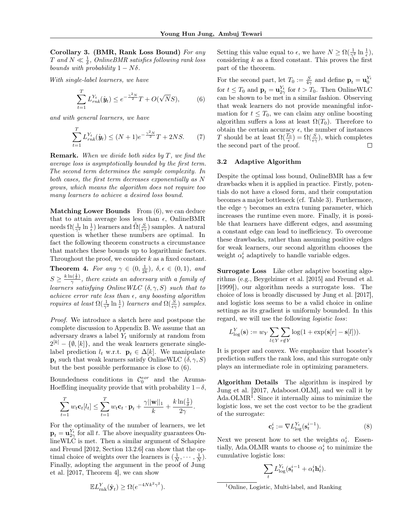Corollary 3. (BMR, Rank Loss Bound) For any  $T$  and  $N \ll \frac{1}{\delta}$ , OnlineBMR satisfies following rank loss bounds with probability  $1 - N\delta$ .

With single-label learners, we have

$$
\sum_{t=1}^{T} L_{rnk}^{Y_t}(\hat{y}_t) \le e^{-\frac{\gamma^2 N}{2}} T + O(\sqrt{N}S), \tag{6}
$$

and with general learners, we have

$$
\sum_{t=1}^{T} L_{rnk}^{Y_t}(\hat{y}_t) \le (N+1)e^{-\frac{\gamma^2 N}{2}}T + 2NS. \tag{7}
$$

**Remark.** When we divide both sides by  $T$ , we find the average loss is asymptotically bounded by the first term. The second term determines the sample complexity. In both cases, the first term decreases exponentially as N grows, which means the algorithm does not require too many learners to achieve a desired loss bound.

Matching Lower Bounds From  $(6)$ , we can deduce that to attain average loss less than  $\epsilon$ , OnlineBMR needs  $\Omega(\frac{1}{\gamma^2} \ln \frac{1}{\epsilon})$  learners and  $\tilde{\Omega}(\frac{S}{\epsilon \gamma})$  samples. A natural question is whether these numbers are optimal. In fact the following theorem constructs a circumstance that matches these bounds up to logarithmic factors. Throughout the proof, we consider  $k$  as a fixed constant.

**Theorem 4.** For any  $\gamma \in (0, \frac{1}{2k})$ ,  $\delta, \epsilon \in (0, 1)$ , and  $S \geq \frac{k \ln(\frac{1}{\delta})}{\gamma}$  $\frac{\partial \left( \frac{\partial \mathbf{y}}{\partial t} \right)}{\partial x}$ , there exists an adversary with a family of learners satisfying OnlineWLC  $(\delta, \gamma, S)$  such that to achieve error rate less than  $\epsilon$ , any boosting algorithm *requires at least*  $\Omega(\frac{1}{\gamma^2} \ln \frac{1}{\epsilon})$  *learners and*  $\Omega(\frac{S}{\epsilon \gamma})$  *samples.* 

Proof. We introduce a sketch here and postpone the complete discussion to Appendix B. We assume that an adversary draws a label  $Y_t$  uniformly at random from  $2^{[k]} - \{\emptyset, [k]\},$  and the weak learners generate singlelabel prediction  $l_t$  w.r.t.  $\mathbf{p}_t \in \Delta[k]$ . We manipulate  $\mathbf{p}_t$  such that weak learners satisfy OnlineWLC  $(\delta, \gamma, S)$ but the best possible performance is close to (6).

Boundedness conditions in  $\mathcal{C}_0^{eor}$  and the Azuma-Hoeffding inequality provide that with probability  $1-\delta$ ,

$$
\sum_{t=1}^T w_t \mathbf{c}_t[l_t] \leq \sum_{t=1}^T w_t \mathbf{c}_t \cdot \mathbf{p}_t + \frac{\gamma ||\mathbf{w}||_1}{k} + \frac{k \ln(\frac{1}{\delta})}{2\gamma}.
$$

For the optimality of the number of learners, we let  $\mathbf{p}_t = \mathbf{u}_{2\gamma}^{Y_t}$  for all t. The above inequality guarantees OnlineWLC is met. Then a similar argument of Schapire and Freund [2012, Section 13.2.6] can show that the optimal choice of weights over the learners is  $(\frac{1}{N}, \dots, \frac{1}{N})$ . Finally, adopting the argument in the proof of Jung et al. [2017, Theorem 4], we can show

$$
\mathbb{E}L_{\text{rnk}}^{Y}(\hat{\mathbf{y}}_{t}) \ge \Omega(e^{-4Nk^{2}\gamma^{2}}).
$$

Setting this value equal to  $\epsilon$ , we have  $N \geq \Omega(\frac{1}{\gamma^2} \ln \frac{1}{\epsilon}),$ considering  $k$  as a fixed constant. This proves the first part of the theorem.

For the second part, let  $T_0 := \frac{S}{4\gamma}$  and define  $\mathbf{p}_t = \mathbf{u}_0^{Y_t}$ for  $t \leq T_0$  and  $\mathbf{p}_t = \mathbf{u}_{2\gamma}^{Y_t}$  for  $t > T_0$ . Then OnlineWLC can be shown to be met in a similar fashion. Observing that weak learners do not provide meaningful information for  $t \leq T_0$ , we can claim any online boosting algorithm suffers a loss at least  $\Omega(T_0)$ . Therefore to obtain the certain accuracy  $\epsilon$ , the number of instances T should be at least  $\Omega(\frac{T_0}{\epsilon}) = \Omega(\frac{S}{\epsilon \gamma})$ , which completes the second part of the proof. □

#### 3.2 Adaptive Algorithm

Despite the optimal loss bound, OnlineBMR has a few drawbacks when it is applied in practice. Firstly, potentials do not have a closed form, and their computation becomes a major bottleneck (cf. Table 3). Furthermore, the edge  $\gamma$  becomes an extra tuning parameter, which increases the runtime even more. Finally, it is possible that learners have different edges, and assuming a constant edge can lead to inefficiency. To overcome these drawbacks, rather than assuming positive edges for weak learners, our second algorithm chooses the weight  $\alpha_t^i$  adaptively to handle variable edges.

Surrogate Loss Like other adaptive boosting algorithms (e.g., Beygelzimer et al. [2015] and Freund et al. [1999]), our algorithm needs a surrogate loss. The choice of loss is broadly discussed by Jung et al. [2017], and logistic loss seems to be a valid choice in online settings as its gradient is uniformly bounded. In this regard, we will use the following logistic loss:

$$
L_{\log}^Y(\mathbf{s}) := w_Y \sum_{l \in Y} \sum_{r \notin Y} \log(1 + \exp(\mathbf{s}[r] - \mathbf{s}[l])).
$$

It is proper and convex. We emphasize that booster's prediction suffers the rank loss, and this surrogate only plays an intermediate role in optimizing parameters.

Algorithm Details The algorithm is inspired by Jung et al. [2017, Adaboost.OLM], and we call it by Ada.OLMR<sup>1</sup> . Since it internally aims to minimize the logistic loss, we set the cost vector to be the gradient of the surrogate:

$$
\mathbf{c}_t^i := \nabla L_{\log}^{Y_t}(\mathbf{s}_t^{i-1}).\tag{8}
$$

Next we present how to set the weights  $\alpha_t^i$ . Essentially, Ada.OLMR wants to choose  $\alpha_t^i$  to minimize the cumulative logistic loss:

$$
\sum_t L^{Y_t}_{\log}(\mathbf{s}^{i-1}_t + \alpha^i_t \mathbf{h}^i_t).
$$

<sup>1</sup>Online, Logistic, Multi-label, and Ranking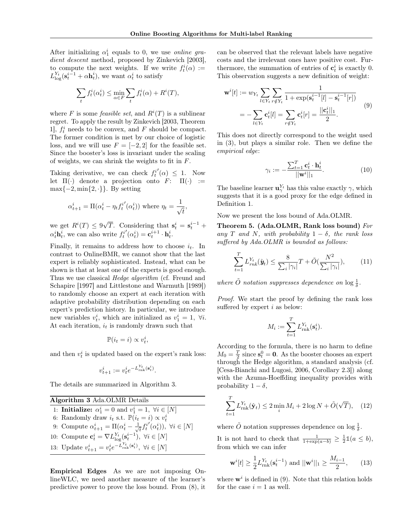After initializing  $\alpha_1^i$  equals to 0, we use *online gra*dient descent method, proposed by Zinkevich [2003], to compute the next weights. If we write  $f_t^i(\alpha) :=$  $L_{\log}^{Y_t}(\mathbf{s}_t^{i-1} + \alpha \mathbf{h}_t^i)$ , we want  $\alpha_t^i$  to satisfy

$$
\sum_t f^i_t(\alpha^i_t) \leq \min_{\alpha \in F} \sum_t f^i_t(\alpha) + R^i(T),
$$

where F is some *feasible set*, and  $R^{i}(T)$  is a sublinear regret. To apply the result by Zinkevich [2003, Theorem 1],  $f_t^i$  needs to be convex, and F should be compact. The former condition is met by our choice of logistic loss, and we will use  $F = [-2, 2]$  for the feasible set. Since the booster's loss is invariant under the scaling of weights, we can shrink the weights to fit in  $F$ .

Taking derivative, we can check  $f_t^i$  $'(\alpha) \leq 1$ . Now let  $\Pi(\cdot)$  denote a projection onto  $F: \Pi(\cdot) :=$  $\max\{-2, \min\{2, \cdot\}\}.$  By setting

$$
\alpha_{t+1}^i = \Pi(\alpha_t^i - \eta_t f_t^{i'}(\alpha_t^i)) \text{ where } \eta_t = \frac{1}{\sqrt{t}},
$$

we get  $R^i(T) \leq 9$ √  $\overline{T}$ . Considering that  $\mathbf{s}_t^i = \mathbf{s}_t^{i-1} + \cdots$  $\alpha_t^i \mathbf{h}_t^i$ , we can also write  $f_t^i$  $\mathbf{C}^{i}_{t}(\alpha_t^{i}) = \mathbf{c}_t^{i+1} \cdot \mathbf{h}_t^{i}.$ 

Finally, it remains to address how to choose  $i_t$ . In contrast to OnlineBMR, we cannot show that the last expert is reliably sophisticated. Instead, what can be shown is that at least one of the experts is good enough. Thus we use classical *Hedge algorithm* (cf. Freund and Schapire [1997] and Littlestone and Warmuth [1989]) to randomly choose an expert at each iteration with adaptive probability distribution depending on each expert's prediction history. In particular, we introduce new variables  $v_t^i$ , which are initialized as  $v_1^i = 1$ ,  $\forall i$ . At each iteration,  $i_t$  is randomly drawn such that

$$
\mathbb{P}(i_t = i) \propto v_t^i,
$$

and then  $v_t^i$  is updated based on the expert's rank loss:

$$
v_{t+1}^i := v_t^i e^{-L_{\text{rnk}}^{Y_t}(\mathbf{s}_t^i)}.
$$

The details are summarized in Algorithm 3.

Algorithm 3 Ada.OLMR Details 1: **Initialize:**  $\alpha_1^i = 0$  and  $v_1^i = 1$ ,  $\forall i \in [N]$ 6: Randomly draw  $i_t$  s.t.  $\mathbb{P}(i_t = i) \propto v_t^i$ 9: Compute  $\alpha_{t+1}^i = \Pi(\alpha_t^i - \frac{1}{\sqrt{2}})$  $\bar{t}^{j}$  $\check{U}(\alpha_t^i)$ ,  $\forall i \in [N]$ 10: Compute  $\mathbf{c}_t^i = \nabla L_{\log}^{Y_t}(\mathbf{s}_t^{i-1}), \ \forall i \in [N]$ 13: Update  $v_{t+1}^i = v_t^i e^{-L_{\text{rnk}}^{Y_t}(\mathbf{s}_t^i)}, \ \forall i \in [N]$ 

Empirical Edges As we are not imposing OnlineWLC, we need another measure of the learner's predictive power to prove the loss bound. From (8), it

can be observed that the relevant labels have negative costs and the irrelevant ones have positive cost. Furthermore, the summation of entries of  $\mathbf{c}_t^i$  is exactly 0. This observation suggests a new definition of weight:

$$
\mathbf{w}^{i}[t] := w_{Y_t} \sum_{l \in Y_t} \sum_{r \notin Y_t} \frac{1}{1 + \exp(\mathbf{s}_t^{i-1}[l] - \mathbf{s}_t^{i-1}[r])}
$$
  
= 
$$
-\sum_{l \in Y_t} \mathbf{c}_t^{i}[l] = \sum_{r \notin Y_t} \mathbf{c}_t^{i}[r] = \frac{||\mathbf{c}_t^{i}||_1}{2}.
$$
 (9)

This does not directly correspond to the weight used in (3), but plays a similar role. Then we define the empirical edge:

$$
\gamma_i := -\frac{\sum_{t=1}^T \mathbf{c}_t^i \cdot \mathbf{h}_t^i}{\|\mathbf{w}^i\|_1}.
$$
\n(10)

The baseline learner  $\mathbf{u}_{\gamma}^{Y_t}$  has this value exactly  $\gamma$ , which suggests that it is a good proxy for the edge defined in Definition 1.

Now we present the loss bound of Ada.OLMR.

Theorem 5. (Ada.OLMR, Rank loss bound) For any T and N, with probability  $1 - \delta$ , the rank loss suffered by Ada.OLMR is bounded as follows:

$$
\sum_{t=1}^{T} L_{rnk}^{Y_t}(\hat{y}_t) \le \frac{8}{\sum_{i} |\gamma_i|} T + \tilde{O}(\frac{N^2}{\sum_{i} |\gamma_i|}), \qquad (11)
$$

where  $\tilde{O}$  notation suppresses dependence on  $\log \frac{1}{\delta}$ .

Proof. We start the proof by defining the rank loss suffered by expert  $i$  as below:

$$
M_i := \sum_{t=1}^T L_{\text{rnk}}^{Y_t}(\mathbf{s}_t^i).
$$

According to the formula, there is no harm to define  $M_0 = \frac{T}{2}$  since  $s_t^0 = 0$ . As the booster chooses an expert through the Hedge algorithm, a standard analysis (cf. [Cesa-Bianchi and Lugosi, 2006, Corollary 2.3]) along with the Azuma-Hoeffding inequality provides with probability  $1 - \delta$ ,

$$
\sum_{t=1}^{T} L_{\text{rnk}}^{Y_t}(\hat{\mathbf{y}}_t) \le 2 \min_i M_i + 2 \log N + \tilde{O}(\sqrt{T}), \quad (12)
$$

where  $\tilde{O}$  notation suppresses dependence on  $\log \frac{1}{\delta}$ .

It is not hard to check that  $\frac{1}{1+\exp(a-b)} \geq \frac{1}{2}\mathbb{1}(a \leq b),$ from which we can infer

$$
\mathbf{w}^{i}[t] \ge \frac{1}{2} L_{\text{rnk}}^{Y_t}(\mathbf{s}_t^{i-1}) \text{ and } ||\mathbf{w}^{i}||_1 \ge \frac{M_{i-1}}{2},\qquad(13)
$$

where  $\mathbf{w}^i$  is defined in (9). Note that this relation holds for the case  $i = 1$  as well.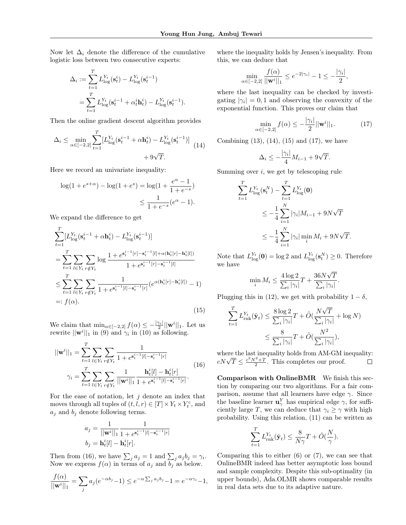Now let  $\Delta_i$  denote the difference of the cumulative logistic loss between two consecutive experts:

$$
\Delta_i := \sum_{t=1}^T L_{\text{log}}^{Y_t}(\mathbf{s}_t^i) - L_{\text{log}}^{Y_t}(\mathbf{s}_t^{i-1})
$$
  
= 
$$
\sum_{t=1}^T L_{\text{log}}^{Y_t}(\mathbf{s}_t^{i-1} + \alpha_t^i \mathbf{h}_t^i) - L_{\text{log}}^{Y_t}(\mathbf{s}_t^{i-1}).
$$

Then the online gradient descent algorithm provides

$$
\Delta_i \le \min_{\alpha \in [-2,2]} \sum_{t=1}^T [L_{\text{log}}^{Y_t} (\mathbf{s}_t^{i-1} + \alpha \mathbf{h}_t^i) - L_{\text{log}}^{Y_t} (\mathbf{s}_t^{i-1})] + 9\sqrt{T}.
$$
\n(14)

Here we record an univariate inequality:

$$
\log(1 + e^{s+\alpha}) - \log(1 + e^s) = \log(1 + \frac{e^{\alpha} - 1}{1 + e^{-s}})
$$
  

$$
\leq \frac{1}{1 + e^{-s}} (e^{\alpha} - 1).
$$

We expand the difference to get

$$
\sum_{t=1}^{T} [L_{\text{log}}^{Y_t}(\mathbf{s}_t^{i-1} + \alpha \mathbf{h}_t^i) - L_{\text{log}}^{Y_t}(\mathbf{s}_t^{i-1})]
$$
\n
$$
= \sum_{t=1}^{T} \sum_{l \in Y_t} \sum_{r \notin Y_t} \log \frac{1 + e^{\mathbf{s}_t^{i-1}[r] - \mathbf{s}_t^{i-1}[l] + \alpha(\mathbf{h}_t^i[r] - \mathbf{h}_t^i[l])}}{1 + e^{\mathbf{s}_t^{i-1}[r] - \mathbf{s}_t^{i-1}[l]}} \leq \sum_{t=1}^{T} \sum_{l \in Y_t} \sum_{r \notin Y_t} \frac{1}{1 + e^{\mathbf{s}_t^{i-1}[l] - \mathbf{s}_t^{i-1}[r]}} (e^{\alpha(\mathbf{h}_t^i[r] - \mathbf{h}_t^i[l])} - 1)
$$
\n
$$
=: f(\alpha). \tag{15}
$$

We claim that  $\min_{\alpha \in [-2,2]} f(\alpha) \leq -\frac{|\gamma_i|}{2} ||\mathbf{w}^i||_1$ . Let us rewrite  $||\mathbf{w}^i||_1$  in (9) and  $\gamma_i$  in (10) as following.

$$
||\mathbf{w}^{i}||_{1} = \sum_{t=1}^{T} \sum_{l \in Y_{t}} \sum_{r \notin Y_{t}} \frac{1}{1 + e^{\mathbf{s}_{t}^{i-1}[l] - \mathbf{s}_{t}^{i-1}[r]}}
$$
  

$$
\gamma_{i} = \sum_{t=1}^{T} \sum_{l \in Y_{t}} \sum_{r \notin Y_{t}} \frac{1}{||\mathbf{w}^{i}||_{1}} \frac{\mathbf{h}_{t}^{i}[l] - \mathbf{h}_{t}^{i}[r]}{1 + e^{\mathbf{s}_{t}^{i-1}[l] - \mathbf{s}_{t}^{i-1}[r]}}.
$$
(16)

For the ease of notation, let  $j$  denote an index that moves through all tuples of  $(t, l, r) \in [T] \times Y_t \times Y_t^c$ , and  $a_j$  and  $b_j$  denote following terms.

$$
a_j = \frac{1}{||\mathbf{w}^i||_1} \frac{1}{1 + e^{\mathbf{s}_t^{i-1}[l] - \mathbf{s}_t^{i-1}[r]}}
$$

$$
b_j = \mathbf{h}_t^i[l] - \mathbf{h}_t^i[r].
$$

Then from (16), we have  $\sum_j a_j = 1$  and  $\sum_j a_j b_j = \gamma_i$ . Now we express  $f(\alpha)$  in terms of  $a_j$  and  $b_j$  as below.

$$
\frac{f(\alpha)}{||\mathbf{w}^i||_1} = \sum_j a_j (e^{-\alpha b_j} - 1) \le e^{-\alpha \sum_j a_j b_j} - 1 = e^{-\alpha \gamma_i} - 1,
$$

where the inequality holds by Jensen's inequality. From this, we can deduce that

$$
\min_{\alpha \in [-2,2]} \frac{f(\alpha)}{||\mathbf{w}^i||_1} \le e^{-2|\gamma_i|} - 1 \le -\frac{|\gamma_i|}{2},
$$

where the last inequality can be checked by investigating  $|\gamma_i| = 0, 1$  and observing the convexity of the exponential function. This proves our claim that

$$
\min_{\alpha \in [-2,2]} f(\alpha) \le -\frac{|\gamma_i|}{2} ||\mathbf{w}^i||_1. \tag{17}
$$

Combining  $(13)$ ,  $(14)$ ,  $(15)$  and  $(17)$ , we have

$$
\Delta_i \le -\frac{|\gamma_i|}{4}M_{i-1} + 9\sqrt{T}.
$$

Summing over  $i$ , we get by telescoping rule

$$
\sum_{t=1}^{T} L_{\log}^{Y_t}(s_t^N) - \sum_{t=1}^{T} L_{\log}^{Y_t}(\mathbf{0})
$$
  

$$
\leq -\frac{1}{4} \sum_{i=1}^{N} |\gamma_i| M_{i-1} + 9N\sqrt{T}
$$
  

$$
\leq -\frac{1}{4} \sum_{i=1}^{N} |\gamma_i| \min_i M_i + 9N\sqrt{T}.
$$

Note that  $L_{\text{log}}^{Y_t}(\mathbf{0}) = \log 2$  and  $L_{\text{log}}^{Y_t}(\mathbf{s}_t^N) \geq 0$ . Therefore we have

$$
\min_{i} M_i \le \frac{4\log 2}{\sum_{i} |\gamma_i|} T + \frac{36N\sqrt{T}}{\sum_{i} |\gamma_i|}.
$$

Plugging this in (12), we get with probability  $1 - \delta$ ,

$$
\sum_{t=1}^{T} L_{\text{rnk}}^{Y_t}(\hat{\mathbf{y}}_t) \le \frac{8 \log 2}{\sum_{i} |\gamma_i|} T + \tilde{O}(\frac{N\sqrt{T}}{\sum_{i} |\gamma_i|} + \log N)
$$

$$
\le \frac{8}{\sum_{i} |\gamma_i|} T + \tilde{O}(\frac{N^2}{\sum_{i} |\gamma_i|}),
$$

where the last inequality holds from AM-GM inequality: where the last mequality holds from AM-GM 1<br>  $cN\sqrt{T} \leq \frac{c^2N^2+T}{2}$ . This completes our proof.  $\Box$ 

Comparison with OnlineBMR We finish this section by comparing our two algorithms. For a fair comparison, assume that all learners have edge  $\gamma$ . Since the baseline learner  $\mathbf{u}_{\gamma}^{Y}$  has empirical edge  $\gamma$ , for sufficiently large T, we can deduce that  $\gamma_i \geq \gamma$  with high probability. Using this relation, (11) can be written as

$$
\sum_{t=1}^T L_{\text{rnk}}^{Y_t}(\hat{\mathbf{y}}_t) \le \frac{8}{N\gamma}T + \tilde{O}(\frac{N}{\gamma}).
$$

Comparing this to either (6) or (7), we can see that OnlineBMR indeed has better asymptotic loss bound and sample complexity. Despite this sub-optimality (in upper bounds), Ada.OLMR shows comparable results in real data sets due to its adaptive nature.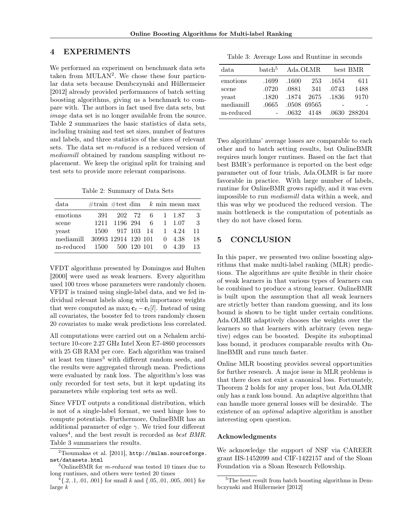### 4 EXPERIMENTS

We performed an experiment on benchmark data sets taken from MULAN<sup>2</sup>. We chose these four particular data sets because Dembczynski and Hüllermeier [2012] already provided performances of batch setting boosting algorithms, giving us a benchmark to compare with. The authors in fact used five data sets, but image data set is no longer available from the source. Table 2 summarizes the basic statistics of data sets, including training and test set sizes, number of features and labels, and three statistics of the sizes of relevant sets. The data set m-reduced is a reduced version of mediamill obtained by random sampling without replacement. We keep the original split for training and test sets to provide more relevant comparisons.

Table 2: Summary of Data Sets

| data                              | #train #test dim $k$ min mean max |                        |  |  |     |
|-----------------------------------|-----------------------------------|------------------------|--|--|-----|
| emotions                          |                                   | 391 202 72 6 1 1.87    |  |  | - 3 |
| scene                             |                                   | 1211 1196 294 6 1 1.07 |  |  | - 3 |
| veast                             |                                   | 1500 917 103 14 1 4.24 |  |  | 11  |
| mediamill                         | 30993 12914 120 101 0 4.38        |                        |  |  | 18  |
| m-reduced 1500 500 120 101 0 4.39 |                                   |                        |  |  | 13  |

VFDT algorithms presented by Domingos and Hulten [2000] were used as weak learners. Every algorithm used 100 trees whose parameters were randomly chosen. VFDT is trained using single-label data, and we fed individual relevant labels along with importance weights that were computed as max<sub>l</sub>  $\mathbf{c}_t - \mathbf{c}_t[l]$ . Instead of using all covariates, the booster fed to trees randomly chosen 20 covariates to make weak predictions less correlated.

All computations were carried out on a Nehalem architecture 10-core 2.27 GHz Intel Xeon E7-4860 processors with 25 GB RAM per core. Each algorithm was trained at least ten times<sup>3</sup> with different random seeds, and the results were aggregated through mean. Predictions were evaluated by rank loss. The algorithm's loss was only recorded for test sets, but it kept updating its parameters while exploring test sets as well.

Since VFDT outputs a conditional distribution, which is not of a single-label format, we used hinge loss to compute potentials. Furthermore, OnlineBMR has an additional parameter of edge  $\gamma$ . We tried four different values<sup>4</sup>, and the best result is recorded as *best BMR*. Table 3 summarizes the results.

| Table 3: Average Loss and Runtime in seconds |  |  |  |  |  |  |
|----------------------------------------------|--|--|--|--|--|--|
|----------------------------------------------|--|--|--|--|--|--|

| data      | batch <sup>5</sup> |       | Ada.OLMR    |       | best BMR     |
|-----------|--------------------|-------|-------------|-------|--------------|
| emotions  | .1699              | .1600 | 253         | .1654 | 611          |
| scene     | .0720              | .0881 | 341         | .0743 | 1488         |
| yeast     | .1820              | .1874 | - 2675      | .1836 | 9170         |
| mediamill | .0665              |       | .0508 69565 |       |              |
| m-reduced |                    | .0632 | 4148        |       | .0630 288204 |

Two algorithms' average losses are comparable to each other and to batch setting results, but OnlineBMR requires much longer runtimes. Based on the fact that best BMR's performance is reported on the best edge parameter out of four trials, Ada.OLMR is far more favorable in practice. With large number of labels, runtime for OnlineBMR grows rapidly, and it was even impossible to run mediamill data within a week, and this was why we produced the reduced version. The main bottleneck is the computation of potentials as they do not have closed form.

### 5 CONCLUSION

In this paper, we presented two online boosting algorithms that make multi-label ranking (MLR) predictions. The algorithms are quite flexible in their choice of weak learners in that various types of learners can be combined to produce a strong learner. OnlineBMR is built upon the assumption that all weak learners are strictly better than random guessing, and its loss bound is shown to be tight under certain conditions. Ada.OLMR adaptively chooses the weights over the learners so that learners with arbitrary (even negative) edges can be boosted. Despite its suboptimal loss bound, it produces comparable results with OnlineBMR and runs much faster.

Online MLR boosting provides several opportunities for further research. A major issue in MLR problems is that there does not exist a canonical loss. Fortunately, Theorem 2 holds for any proper loss, but Ada.OLMR only has a rank loss bound. An adaptive algorithm that can handle more general losses will be desirable. The existence of an optimal adaptive algorithm is another interesting open question.

#### Acknowledgments

We acknowledge the support of NSF via CAREER grant IIS-1452099 and CIF-1422157 and of the Sloan Foundation via a Sloan Research Fellowship.

 $^{2}$ Tsoumakas et al. [2011], http://mulan.sourceforge. net/datasets.html

 $3$ OnlineBMR for *m-reduced* was tested 10 times due to long runtimes, and others were tested 20 times

 $\{4\}, 2, 1, .01, .001\}$  for small k and  $\{.05, .01, .005, .001\}$  for large k

<sup>5</sup>The best result from batch boosting algorithms in Dembczynski and Hüllermeier [2012]